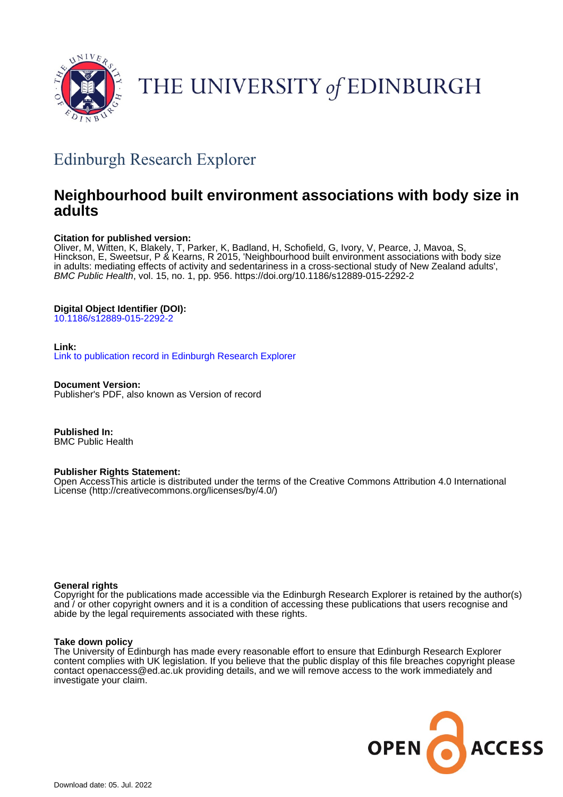

# THE UNIVERSITY of EDINBURGH

## Edinburgh Research Explorer

### **Neighbourhood built environment associations with body size in adults**

#### **Citation for published version:**

Oliver, M, Witten, K, Blakely, T, Parker, K, Badland, H, Schofield, G, Ivory, V, Pearce, J, Mavoa, S, Hinckson, E, Sweetsur, P & Kearns, R 2015, 'Neighbourhood built environment associations with body size in adults: mediating effects of activity and sedentariness in a cross-sectional study of New Zealand adults', BMC Public Health, vol. 15, no. 1, pp. 956.<https://doi.org/10.1186/s12889-015-2292-2>

### **Digital Object Identifier (DOI):**

[10.1186/s12889-015-2292-2](https://doi.org/10.1186/s12889-015-2292-2)

#### **Link:**

[Link to publication record in Edinburgh Research Explorer](https://www.research.ed.ac.uk/en/publications/21342c52-23fc-4078-8019-1045d768142e)

**Document Version:** Publisher's PDF, also known as Version of record

**Published In:** BMC Public Health

#### **Publisher Rights Statement:**

Open AccessThis article is distributed under the terms of the Creative Commons Attribution 4.0 International License (http://creativecommons.org/licenses/by/4.0/)

#### **General rights**

Copyright for the publications made accessible via the Edinburgh Research Explorer is retained by the author(s) and / or other copyright owners and it is a condition of accessing these publications that users recognise and abide by the legal requirements associated with these rights.

#### **Take down policy**

The University of Edinburgh has made every reasonable effort to ensure that Edinburgh Research Explorer content complies with UK legislation. If you believe that the public display of this file breaches copyright please contact openaccess@ed.ac.uk providing details, and we will remove access to the work immediately and investigate your claim.

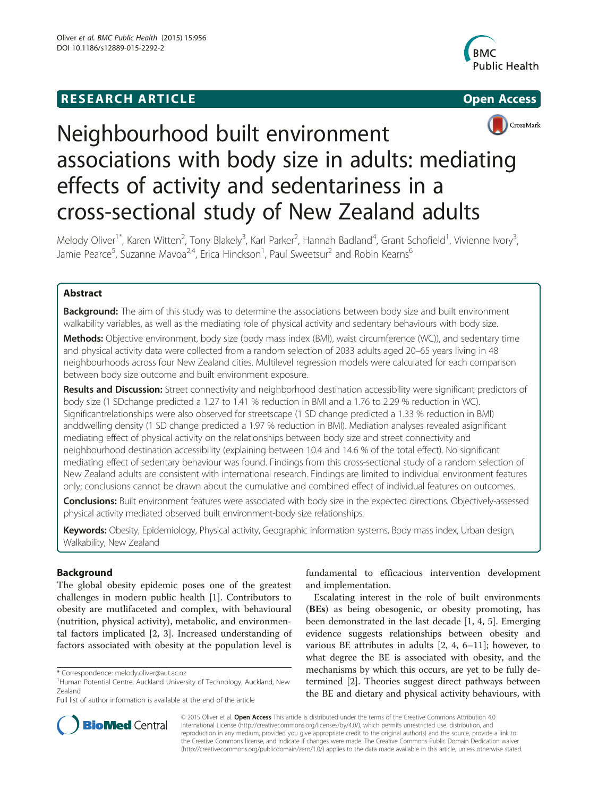### **RESEARCH ARTICLE Example 2014 12:30 The SEAR CHIPS 2014 12:30 The Open Access**





## Neighbourhood built environment associations with body size in adults: mediating effects of activity and sedentariness in a cross-sectional study of New Zealand adults

Melody Oliver<sup>1\*</sup>, Karen Witten<sup>2</sup>, Tony Blakely<sup>3</sup>, Karl Parker<sup>2</sup>, Hannah Badland<sup>4</sup>, Grant Schofield<sup>1</sup>, Vivienne Ivory<sup>3</sup> , Jamie Pearce<sup>5</sup>, Suzanne Mavoa<sup>2,4</sup>, Erica Hinckson<sup>1</sup>, Paul Sweetsur<sup>2</sup> and Robin Kearns<sup>6</sup>

#### Abstract

Background: The aim of this study was to determine the associations between body size and built environment walkability variables, as well as the mediating role of physical activity and sedentary behaviours with body size.

Methods: Objective environment, body size (body mass index (BMI), waist circumference (WC)), and sedentary time and physical activity data were collected from a random selection of 2033 adults aged 20–65 years living in 48 neighbourhoods across four New Zealand cities. Multilevel regression models were calculated for each comparison between body size outcome and built environment exposure.

Results and Discussion: Street connectivity and neighborhood destination accessibility were significant predictors of body size (1 SDchange predicted a 1.27 to 1.41 % reduction in BMI and a 1.76 to 2.29 % reduction in WC). Significantrelationships were also observed for streetscape (1 SD change predicted a 1.33 % reduction in BMI) anddwelling density (1 SD change predicted a 1.97 % reduction in BMI). Mediation analyses revealed asignificant mediating effect of physical activity on the relationships between body size and street connectivity and neighbourhood destination accessibility (explaining between 10.4 and 14.6 % of the total effect). No significant mediating effect of sedentary behaviour was found. Findings from this cross-sectional study of a random selection of New Zealand adults are consistent with international research. Findings are limited to individual environment features only; conclusions cannot be drawn about the cumulative and combined effect of individual features on outcomes.

Conclusions: Built environment features were associated with body size in the expected directions. Objectively-assessed physical activity mediated observed built environment-body size relationships.

Keywords: Obesity, Epidemiology, Physical activity, Geographic information systems, Body mass index, Urban design, Walkability, New Zealand

#### Background

The global obesity epidemic poses one of the greatest challenges in modern public health [[1](#page-9-0)]. Contributors to obesity are mutlifaceted and complex, with behavioural (nutrition, physical activity), metabolic, and environmental factors implicated [[2, 3\]](#page-9-0). Increased understanding of factors associated with obesity at the population level is

fundamental to efficacious intervention development and implementation.

Escalating interest in the role of built environments (BEs) as being obesogenic, or obesity promoting, has been demonstrated in the last decade [[1](#page-9-0), [4, 5\]](#page-9-0). Emerging evidence suggests relationships between obesity and various BE attributes in adults [\[2, 4, 6](#page-9-0)–[11\]](#page-9-0); however, to what degree the BE is associated with obesity, and the mechanisms by which this occurs, are yet to be fully determined [[2\]](#page-9-0). Theories suggest direct pathways between the BE and dietary and physical activity behaviours, with



© 2015 Oliver et al. Open Access This article is distributed under the terms of the Creative Commons Attribution 4.0 International License [\(http://creativecommons.org/licenses/by/4.0/](http://creativecommons.org/licenses/by/4.0/)), which permits unrestricted use, distribution, and reproduction in any medium, provided you give appropriate credit to the original author(s) and the source, provide a link to the Creative Commons license, and indicate if changes were made. The Creative Commons Public Domain Dedication waiver [\(http://creativecommons.org/publicdomain/zero/1.0/](http://creativecommons.org/publicdomain/zero/1.0/)) applies to the data made available in this article, unless otherwise stated.

<sup>\*</sup> Correspondence: [melody.oliver@aut.ac.nz](mailto:melody.oliver@aut.ac.nz) <sup>1</sup>

<sup>&</sup>lt;sup>1</sup> Human Potential Centre, Auckland University of Technology, Auckland, New Zealand

Full list of author information is available at the end of the article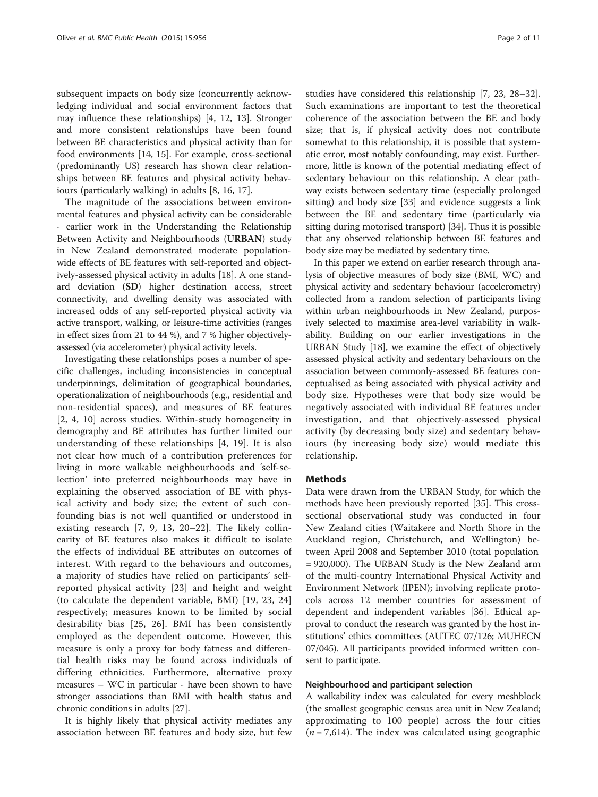subsequent impacts on body size (concurrently acknowledging individual and social environment factors that may influence these relationships) [[4, 12](#page-9-0), [13\]](#page-9-0). Stronger and more consistent relationships have been found between BE characteristics and physical activity than for food environments [[14](#page-9-0), [15](#page-9-0)]. For example, cross-sectional (predominantly US) research has shown clear relationships between BE features and physical activity behaviours (particularly walking) in adults [[8,](#page-9-0) [16](#page-10-0), [17](#page-10-0)].

The magnitude of the associations between environmental features and physical activity can be considerable - earlier work in the Understanding the Relationship Between Activity and Neighbourhoods (URBAN) study in New Zealand demonstrated moderate populationwide effects of BE features with self-reported and objectively-assessed physical activity in adults [[18](#page-10-0)]. A one standard deviation (SD) higher destination access, street connectivity, and dwelling density was associated with increased odds of any self-reported physical activity via active transport, walking, or leisure-time activities (ranges in effect sizes from 21 to 44 %), and 7 % higher objectivelyassessed (via accelerometer) physical activity levels.

Investigating these relationships poses a number of specific challenges, including inconsistencies in conceptual underpinnings, delimitation of geographical boundaries, operationalization of neighbourhoods (e.g., residential and non-residential spaces), and measures of BE features [[2, 4](#page-9-0), [10\]](#page-9-0) across studies. Within-study homogeneity in demography and BE attributes has further limited our understanding of these relationships [[4,](#page-9-0) [19](#page-10-0)]. It is also not clear how much of a contribution preferences for living in more walkable neighbourhoods and 'self-selection' into preferred neighbourhoods may have in explaining the observed association of BE with physical activity and body size; the extent of such confounding bias is not well quantified or understood in existing research [[7, 9](#page-9-0), [13](#page-9-0), [20](#page-10-0)–[22\]](#page-10-0). The likely collinearity of BE features also makes it difficult to isolate the effects of individual BE attributes on outcomes of interest. With regard to the behaviours and outcomes, a majority of studies have relied on participants' selfreported physical activity [[23\]](#page-10-0) and height and weight (to calculate the dependent variable, BMI) [[19, 23](#page-10-0), [24](#page-10-0)] respectively; measures known to be limited by social desirability bias [[25](#page-10-0), [26](#page-10-0)]. BMI has been consistently employed as the dependent outcome. However, this measure is only a proxy for body fatness and differential health risks may be found across individuals of differing ethnicities. Furthermore, alternative proxy measures – WC in particular - have been shown to have stronger associations than BMI with health status and chronic conditions in adults [\[27\]](#page-10-0).

It is highly likely that physical activity mediates any association between BE features and body size, but few

studies have considered this relationship [\[7,](#page-9-0) [23, 28](#page-10-0)–[32](#page-10-0)]. Such examinations are important to test the theoretical coherence of the association between the BE and body size; that is, if physical activity does not contribute somewhat to this relationship, it is possible that systematic error, most notably confounding, may exist. Furthermore, little is known of the potential mediating effect of sedentary behaviour on this relationship. A clear pathway exists between sedentary time (especially prolonged sitting) and body size [[33\]](#page-10-0) and evidence suggests a link between the BE and sedentary time (particularly via sitting during motorised transport) [\[34](#page-10-0)]. Thus it is possible that any observed relationship between BE features and body size may be mediated by sedentary time.

In this paper we extend on earlier research through analysis of objective measures of body size (BMI, WC) and physical activity and sedentary behaviour (accelerometry) collected from a random selection of participants living within urban neighbourhoods in New Zealand, purposively selected to maximise area-level variability in walkability. Building on our earlier investigations in the URBAN Study [\[18](#page-10-0)], we examine the effect of objectively assessed physical activity and sedentary behaviours on the association between commonly-assessed BE features conceptualised as being associated with physical activity and body size. Hypotheses were that body size would be negatively associated with individual BE features under investigation, and that objectively-assessed physical activity (by decreasing body size) and sedentary behaviours (by increasing body size) would mediate this relationship.

#### Methods

Data were drawn from the URBAN Study, for which the methods have been previously reported [\[35\]](#page-10-0). This crosssectional observational study was conducted in four New Zealand cities (Waitakere and North Shore in the Auckland region, Christchurch, and Wellington) between April 2008 and September 2010 (total population = 920,000). The URBAN Study is the New Zealand arm of the multi-country International Physical Activity and Environment Network (IPEN); involving replicate protocols across 12 member countries for assessment of dependent and independent variables [\[36\]](#page-10-0). Ethical approval to conduct the research was granted by the host institutions' ethics committees (AUTEC 07/126; MUHECN 07/045). All participants provided informed written consent to participate.

#### Neighbourhood and participant selection

A walkability index was calculated for every meshblock (the smallest geographic census area unit in New Zealand; approximating to 100 people) across the four cities  $(n = 7,614)$ . The index was calculated using geographic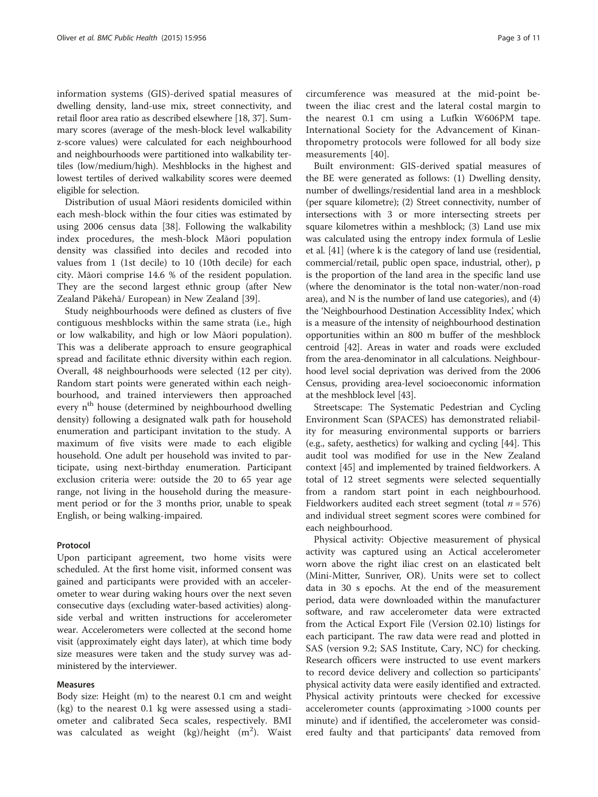information systems (GIS)-derived spatial measures of dwelling density, land-use mix, street connectivity, and retail floor area ratio as described elsewhere [\[18, 37](#page-10-0)]. Summary scores (average of the mesh-block level walkability z-score values) were calculated for each neighbourhood and neighbourhoods were partitioned into walkability tertiles (low/medium/high). Meshblocks in the highest and lowest tertiles of derived walkability scores were deemed eligible for selection.

Distribution of usual Māori residents domiciled within each mesh-block within the four cities was estimated by using 2006 census data [[38\]](#page-10-0). Following the walkability index procedures, the mesh-block Māori population density was classified into deciles and recoded into values from 1 (1st decile) to 10 (10th decile) for each city. Māori comprise 14.6 % of the resident population. They are the second largest ethnic group (after New Zealand Pākehā/ European) in New Zealand [\[39\]](#page-10-0).

Study neighbourhoods were defined as clusters of five contiguous meshblocks within the same strata (i.e., high or low walkability, and high or low Māori population). This was a deliberate approach to ensure geographical spread and facilitate ethnic diversity within each region. Overall, 48 neighbourhoods were selected (12 per city). Random start points were generated within each neighbourhood, and trained interviewers then approached every n<sup>th</sup> house (determined by neighbourhood dwelling density) following a designated walk path for household enumeration and participant invitation to the study. A maximum of five visits were made to each eligible household. One adult per household was invited to participate, using next-birthday enumeration. Participant exclusion criteria were: outside the 20 to 65 year age range, not living in the household during the measurement period or for the 3 months prior, unable to speak English, or being walking-impaired.

#### Protocol

Upon participant agreement, two home visits were scheduled. At the first home visit, informed consent was gained and participants were provided with an accelerometer to wear during waking hours over the next seven consecutive days (excluding water-based activities) alongside verbal and written instructions for accelerometer wear. Accelerometers were collected at the second home visit (approximately eight days later), at which time body size measures were taken and the study survey was administered by the interviewer.

#### Measures

Body size: Height (m) to the nearest 0.1 cm and weight (kg) to the nearest 0.1 kg were assessed using a stadiometer and calibrated Seca scales, respectively. BMI was calculated as weight  $(\text{kg})/\text{height}$   $(\text{m}^2)$ . Waist

circumference was measured at the mid-point between the iliac crest and the lateral costal margin to the nearest 0.1 cm using a Lufkin W606PM tape. International Society for the Advancement of Kinanthropometry protocols were followed for all body size measurements [\[40](#page-10-0)].

Built environment: GIS-derived spatial measures of the BE were generated as follows: (1) Dwelling density, number of dwellings/residential land area in a meshblock (per square kilometre); (2) Street connectivity, number of intersections with 3 or more intersecting streets per square kilometres within a meshblock; (3) Land use mix was calculated using the entropy index formula of Leslie et al. [\[41\]](#page-10-0) (where k is the category of land use (residential, commercial/retail, public open space, industrial, other), p is the proportion of the land area in the specific land use (where the denominator is the total non-water/non-road area), and N is the number of land use categories), and (4) the 'Neighbourhood Destination Accessiblity Index', which is a measure of the intensity of neighbourhood destination opportunities within an 800 m buffer of the meshblock centroid [[42\]](#page-10-0). Areas in water and roads were excluded from the area-denominator in all calculations. Neighbourhood level social deprivation was derived from the 2006 Census, providing area-level socioeconomic information at the meshblock level [\[43](#page-10-0)].

Streetscape: The Systematic Pedestrian and Cycling Environment Scan (SPACES) has demonstrated reliability for measuring environmental supports or barriers (e.g., safety, aesthetics) for walking and cycling [\[44](#page-10-0)]. This audit tool was modified for use in the New Zealand context [\[45](#page-10-0)] and implemented by trained fieldworkers. A total of 12 street segments were selected sequentially from a random start point in each neighbourhood. Fieldworkers audited each street segment (total  $n = 576$ ) and individual street segment scores were combined for each neighbourhood.

Physical activity: Objective measurement of physical activity was captured using an Actical accelerometer worn above the right iliac crest on an elasticated belt (Mini-Mitter, Sunriver, OR). Units were set to collect data in 30 s epochs. At the end of the measurement period, data were downloaded within the manufacturer software, and raw accelerometer data were extracted from the Actical Export File (Version 02.10) listings for each participant. The raw data were read and plotted in SAS (version 9.2; SAS Institute, Cary, NC) for checking. Research officers were instructed to use event markers to record device delivery and collection so participants' physical activity data were easily identified and extracted. Physical activity printouts were checked for excessive accelerometer counts (approximating >1000 counts per minute) and if identified, the accelerometer was considered faulty and that participants' data removed from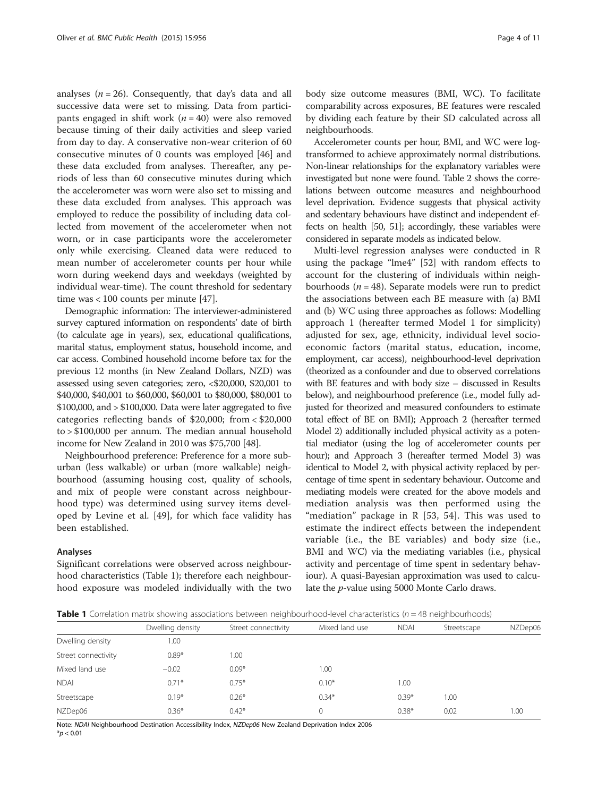<span id="page-4-0"></span>analyses ( $n = 26$ ). Consequently, that day's data and all successive data were set to missing. Data from participants engaged in shift work ( $n = 40$ ) were also removed because timing of their daily activities and sleep varied from day to day. A conservative non-wear criterion of 60 consecutive minutes of 0 counts was employed [\[46\]](#page-10-0) and these data excluded from analyses. Thereafter, any periods of less than 60 consecutive minutes during which the accelerometer was worn were also set to missing and these data excluded from analyses. This approach was employed to reduce the possibility of including data collected from movement of the accelerometer when not worn, or in case participants wore the accelerometer only while exercising. Cleaned data were reduced to mean number of accelerometer counts per hour while worn during weekend days and weekdays (weighted by individual wear-time). The count threshold for sedentary time was < 100 counts per minute [[47](#page-10-0)].

Demographic information: The interviewer-administered survey captured information on respondents' date of birth (to calculate age in years), sex, educational qualifications, marital status, employment status, household income, and car access. Combined household income before tax for the previous 12 months (in New Zealand Dollars, NZD) was assessed using seven categories; zero, <\$20,000, \$20,001 to \$40,000, \$40,001 to \$60,000, \$60,001 to \$80,000, \$80,001 to \$100,000, and > \$100,000. Data were later aggregated to five categories reflecting bands of \$20,000; from < \$20,000 to > \$100,000 per annum. The median annual household income for New Zealand in 2010 was \$75,700 [\[48\]](#page-10-0).

Neighbourhood preference: Preference for a more suburban (less walkable) or urban (more walkable) neighbourhood (assuming housing cost, quality of schools, and mix of people were constant across neighbourhood type) was determined using survey items developed by Levine et al. [\[49](#page-10-0)], for which face validity has been established.

#### Analyses

Significant correlations were observed across neighbourhood characteristics (Table 1); therefore each neighbourhood exposure was modeled individually with the two body size outcome measures (BMI, WC). To facilitate comparability across exposures, BE features were rescaled by dividing each feature by their SD calculated across all neighbourhoods.

Accelerometer counts per hour, BMI, and WC were logtransformed to achieve approximately normal distributions. Non-linear relationships for the explanatory variables were investigated but none were found. Table [2](#page-5-0) shows the correlations between outcome measures and neighbourhood level deprivation. Evidence suggests that physical activity and sedentary behaviours have distinct and independent effects on health [\[50, 51](#page-10-0)]; accordingly, these variables were considered in separate models as indicated below.

Multi-level regression analyses were conducted in R using the package "lme4" [[52\]](#page-10-0) with random effects to account for the clustering of individuals within neighbourhoods ( $n = 48$ ). Separate models were run to predict the associations between each BE measure with (a) BMI and (b) WC using three approaches as follows: Modelling approach 1 (hereafter termed Model 1 for simplicity) adjusted for sex, age, ethnicity, individual level socioeconomic factors (marital status, education, income, employment, car access), neighbourhood-level deprivation (theorized as a confounder and due to observed correlations with BE features and with body size – discussed in Results below), and neighbourhood preference (i.e., model fully adjusted for theorized and measured confounders to estimate total effect of BE on BMI); Approach 2 (hereafter termed Model 2) additionally included physical activity as a potential mediator (using the log of accelerometer counts per hour); and Approach 3 (hereafter termed Model 3) was identical to Model 2, with physical activity replaced by percentage of time spent in sedentary behaviour. Outcome and mediating models were created for the above models and mediation analysis was then performed using the "mediation" package in  $R$  [[53](#page-10-0), [54](#page-10-0)]. This was used to estimate the indirect effects between the independent variable (i.e., the BE variables) and body size (i.e., BMI and WC) via the mediating variables (i.e., physical activity and percentage of time spent in sedentary behaviour). A quasi-Bayesian approximation was used to calculate the p-value using 5000 Monte Carlo draws.

**Table 1** Correlation matrix showing associations between neighbourhood-level characteristics ( $n = 48$  neighbourhoods)

|                     | Dwelling density | Street connectivity | Mixed land use | <b>NDAI</b> | Streetscape | NZDep06 |
|---------------------|------------------|---------------------|----------------|-------------|-------------|---------|
| Dwelling density    | 1.00             |                     |                |             |             |         |
| Street connectivity | $0.89*$          | .00.                |                |             |             |         |
| Mixed land use      | $-0.02$          | $0.09*$             | 1.00           |             |             |         |
| <b>NDAI</b>         | $0.71*$          | $0.75*$             | $0.10*$        | 1.00        |             |         |
| Streetscape         | $0.19*$          | $0.26*$             | $0.34*$        | $0.39*$     | 00.1        |         |
| NZDep06             | $0.36*$          | $0.42*$             |                | $0.38*$     | 0.02        | 1.00    |
|                     |                  |                     |                |             |             |         |

Note: NDAI Neighbourhood Destination Accessibility Index, NZDep06 New Zealand Deprivation Index 2006  $*$ *p* < 0.01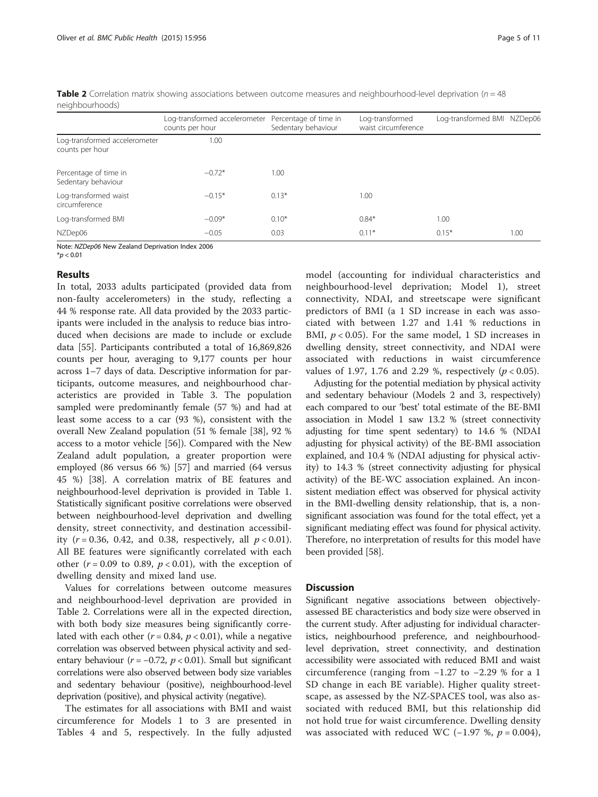|                                                  | Log-transformed accelerometer Percentage of time in<br>counts per hour | Sedentary behaviour | Log-transformed<br>waist circumference | Log-transformed BMI NZDep06 |      |  |
|--------------------------------------------------|------------------------------------------------------------------------|---------------------|----------------------------------------|-----------------------------|------|--|
| Log-transformed accelerometer<br>counts per hour | 1.00                                                                   |                     |                                        |                             |      |  |
| Percentage of time in<br>Sedentary behaviour     | $-0.72*$                                                               | 1.00                |                                        |                             |      |  |
| Log-transformed waist<br>circumference           | $-0.15*$                                                               | $0.13*$             | 1.00                                   |                             |      |  |
| Log-transformed BMI                              | $-0.09*$                                                               | $0.10*$             | $0.84*$                                | 1.00                        |      |  |
| NZDep06                                          | $-0.05$                                                                | 0.03                | $0.11*$                                | $0.15*$                     | 1.00 |  |

<span id="page-5-0"></span>**Table 2** Correlation matrix showing associations between outcome measures and neighbourhood-level deprivation ( $n = 48$ ) neighbourhoods)

Note: NZDep06 New Zealand Deprivation Index 2006

 $*p < 0.01$ 

#### Results

In total, 2033 adults participated (provided data from non-faulty accelerometers) in the study, reflecting a 44 % response rate. All data provided by the 2033 participants were included in the analysis to reduce bias introduced when decisions are made to include or exclude data [\[55\]](#page-10-0). Participants contributed a total of 16,869,826 counts per hour, averaging to 9,177 counts per hour across 1–7 days of data. Descriptive information for participants, outcome measures, and neighbourhood characteristics are provided in Table [3](#page-6-0). The population sampled were predominantly female (57 %) and had at least some access to a car (93 %), consistent with the overall New Zealand population (51 % female [\[38\]](#page-10-0), 92 % access to a motor vehicle [\[56](#page-10-0)]). Compared with the New Zealand adult population, a greater proportion were employed (86 versus 66 %) [[57\]](#page-10-0) and married (64 versus 45 %) [\[38](#page-10-0)]. A correlation matrix of BE features and neighbourhood-level deprivation is provided in Table [1](#page-4-0). Statistically significant positive correlations were observed between neighbourhood-level deprivation and dwelling density, street connectivity, and destination accessibility ( $r = 0.36$ , 0.42, and 0.38, respectively, all  $p < 0.01$ ). All BE features were significantly correlated with each other ( $r = 0.09$  to 0.89,  $p < 0.01$ ), with the exception of dwelling density and mixed land use.

Values for correlations between outcome measures and neighbourhood-level deprivation are provided in Table 2. Correlations were all in the expected direction, with both body size measures being significantly correlated with each other ( $r = 0.84$ ,  $p < 0.01$ ), while a negative correlation was observed between physical activity and sedentary behaviour ( $r = -0.72$ ,  $p < 0.01$ ). Small but significant correlations were also observed between body size variables and sedentary behaviour (positive), neighbourhood-level deprivation (positive), and physical activity (negative).

The estimates for all associations with BMI and waist circumference for Models 1 to 3 are presented in Tables [4](#page-7-0) and [5,](#page-7-0) respectively. In the fully adjusted

model (accounting for individual characteristics and neighbourhood-level deprivation; Model 1), street connectivity, NDAI, and streetscape were significant predictors of BMI (a 1 SD increase in each was associated with between 1.27 and 1.41 % reductions in BMI,  $p < 0.05$ ). For the same model, 1 SD increases in dwelling density, street connectivity, and NDAI were associated with reductions in waist circumference values of 1.97, 1.76 and 2.29 %, respectively ( $p < 0.05$ ).

Adjusting for the potential mediation by physical activity and sedentary behaviour (Models 2 and 3, respectively) each compared to our 'best' total estimate of the BE-BMI association in Model 1 saw 13.2 % (street connectivity adjusting for time spent sedentary) to 14.6 % (NDAI adjusting for physical activity) of the BE-BMI association explained, and 10.4 % (NDAI adjusting for physical activity) to 14.3 % (street connectivity adjusting for physical activity) of the BE-WC association explained. An inconsistent mediation effect was observed for physical activity in the BMI-dwelling density relationship, that is, a nonsignificant association was found for the total effect, yet a significant mediating effect was found for physical activity. Therefore, no interpretation of results for this model have been provided [\[58\]](#page-10-0).

#### **Discussion**

Significant negative associations between objectivelyassessed BE characteristics and body size were observed in the current study. After adjusting for individual characteristics, neighbourhood preference, and neighbourhoodlevel deprivation, street connectivity, and destination accessibility were associated with reduced BMI and waist circumference (ranging from −1.27 to −2.29 % for a 1 SD change in each BE variable). Higher quality streetscape, as assessed by the NZ-SPACES tool, was also associated with reduced BMI, but this relationship did not hold true for waist circumference. Dwelling density was associated with reduced WC (-1.97 %,  $p = 0.004$ ),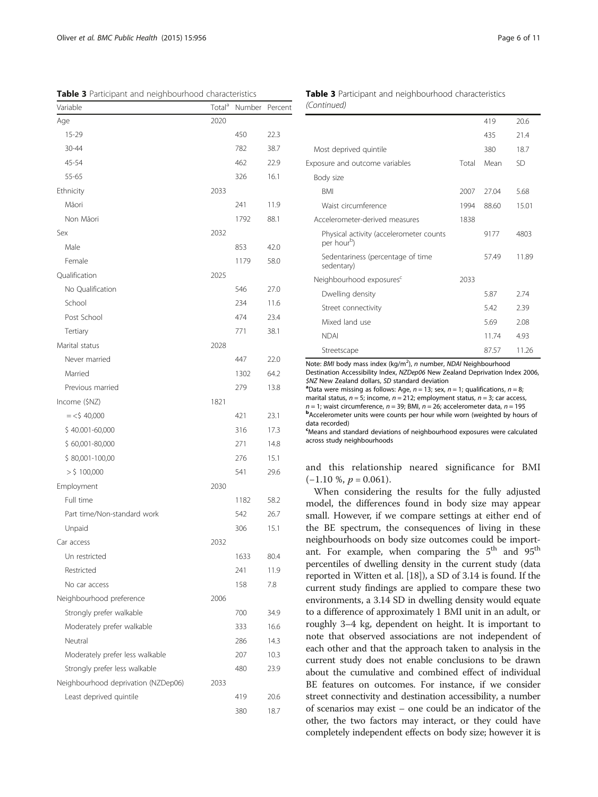<span id="page-6-0"></span>Table 3 Participant and neighbourhood characteristics

| Variable                            | Total <sup>a</sup> | Number | Percent |
|-------------------------------------|--------------------|--------|---------|
| Age                                 | 2020               |        |         |
| 15-29                               |                    | 450    | 22.3    |
| 30-44                               |                    | 782    | 38.7    |
| 45-54                               |                    | 462    | 22.9    |
| 55-65                               |                    | 326    | 16.1    |
| Ethnicity                           | 2033               |        |         |
| Māori                               |                    | 241    | 11.9    |
| Non Māori                           |                    | 1792   | 88.1    |
| Sex                                 | 2032               |        |         |
| Male                                |                    | 853    | 42.0    |
| Female                              |                    | 1179   | 58.0    |
| Qualification                       | 2025               |        |         |
| No Qualification                    |                    | 546    | 27.0    |
| School                              |                    | 234    | 11.6    |
| Post School                         |                    | 474    | 23.4    |
| Tertiary                            |                    | 771    | 38.1    |
| Marital status                      | 2028               |        |         |
| Never married                       |                    | 447    | 22.0    |
| Married                             |                    | 1302   | 64.2    |
| Previous married                    |                    | 279    | 13.8    |
| Income (\$NZ)                       | 1821               |        |         |
| $=$ <\$40,000                       |                    | 421    | 23.1    |
| \$40.001-60,000                     |                    | 316    | 17.3    |
| $$60,001-80,000$                    |                    | 271    | 14.8    |
| $$80,001-100,00$                    |                    | 276    | 15.1    |
| $>$ \$ 100,000                      |                    | 541    | 29.6    |
| Employment                          | 2030               |        |         |
| Full time                           |                    | 1182   | 58.2    |
| Part time/Non-standard work         |                    | 542    | 26.7    |
| Unpaid                              |                    | 306    | 15.1    |
| Car access                          | 2032               |        |         |
| Un restricted                       |                    | 1633   | 80.4    |
| Restricted                          |                    | 241    | 11.9    |
| No car access                       |                    | 158    | 7.8     |
| Neighbourhood preference            | 2006               |        |         |
| Strongly prefer walkable            |                    | 700    | 34.9    |
| Moderately prefer walkable          |                    | 333    | 16.6    |
| Neutral                             |                    | 286    | 14.3    |
| Moderately prefer less walkable     |                    | 207    | 10.3    |
| Strongly prefer less walkable       |                    | 480    | 23.9    |
| Neighbourhood deprivation (NZDep06) | 2033               |        |         |
| Least deprived quintile             |                    | 419    | 20.6    |
|                                     |                    | 380    | 18.7    |
|                                     |                    |        |         |

#### Table 3 Participant and neighbourhood characteristics (Continued)

|                                                                    |       | 419   | 20.6      |
|--------------------------------------------------------------------|-------|-------|-----------|
|                                                                    |       | 435   | 21.4      |
| Most deprived quintile                                             |       | 380   | 18.7      |
| Exposure and outcome variables                                     | Total | Mean  | <b>SD</b> |
| Body size                                                          |       |       |           |
| <b>BMI</b>                                                         | 2007  | 27.04 | 5.68      |
| Waist circumference                                                | 1994  | 88.60 | 15.01     |
| Accelerometer-derived measures                                     | 1838  |       |           |
| Physical activity (accelerometer counts<br>per hour <sup>b</sup> ) |       | 9177  | 4803      |
| Sedentariness (percentage of time<br>sedentary)                    |       | 57.49 | 11.89     |
| Neighbourhood exposures <sup>c</sup>                               | 2033  |       |           |
| Dwelling density                                                   |       | 5.87  | 274       |
| Street connectivity                                                |       | 5.42  | 2.39      |
| Mixed land use                                                     |       | 5.69  | 2.08      |
| <b>NDAI</b>                                                        |       | 11.74 | 4.93      |
| Streetscape                                                        |       | 87.57 | 11.26     |

Note: BMI body mass index (kg/m<sup>2</sup>), n number, NDAI Neighbourhood Destination Accessibility Index, NZDep06 New Zealand Deprivation Index 2006, \$NZ New Zealand dollars, SD standard deviation <sup>a</sup>

<sup>a</sup>Data were missing as follows: Age,  $n = 13$ ; sex,  $n = 1$ ; qualifications,  $n = 8$ ; marital status,  $n = 5$ ; income,  $n = 212$ ; employment status,  $n = 3$ ; car access,  $n = 1$ ; waist circumference,  $n = 39$ ; BMI,  $n = 26$ ; accelerometer data,  $n = 195$ **b**Accelerometer units were counts per hour while worn (weighted by hours of data recorded)

c Means and standard deviations of neighbourhood exposures were calculated across study neighbourhoods

and this relationship neared significance for BMI  $(-1.10 \text{ %}, p = 0.061).$ 

When considering the results for the fully adjusted model, the differences found in body size may appear small. However, if we compare settings at either end of the BE spectrum, the consequences of living in these neighbourhoods on body size outcomes could be important. For example, when comparing the  $5<sup>th</sup>$  and  $95<sup>th</sup>$ percentiles of dwelling density in the current study (data reported in Witten et al. [[18](#page-10-0)]), a SD of 3.14 is found. If the current study findings are applied to compare these two environments, a 3.14 SD in dwelling density would equate to a difference of approximately 1 BMI unit in an adult, or roughly 3–4 kg, dependent on height. It is important to note that observed associations are not independent of each other and that the approach taken to analysis in the current study does not enable conclusions to be drawn about the cumulative and combined effect of individual BE features on outcomes. For instance, if we consider street connectivity and destination accessibility, a number of scenarios may exist – one could be an indicator of the other, the two factors may interact, or they could have completely independent effects on body size; however it is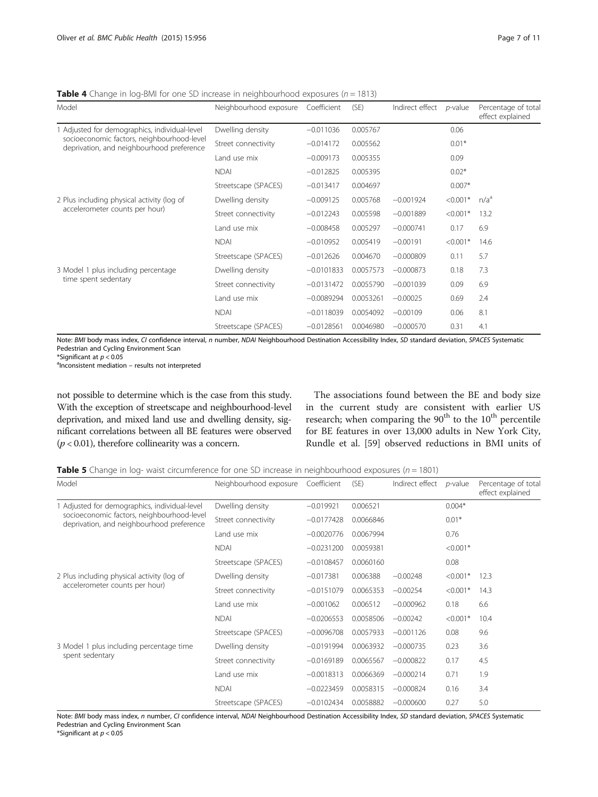<span id="page-7-0"></span>**Table 4** Change in log-BMI for one SD increase in neighbourhood exposures ( $n = 1813$ )

| Model                                                                                                                                    | Neighbourhood exposure | Coefficient  | (SE)      | Indirect effect | $p$ -value | Percentage of total<br>effect explained |
|------------------------------------------------------------------------------------------------------------------------------------------|------------------------|--------------|-----------|-----------------|------------|-----------------------------------------|
| 1 Adjusted for demographics, individual-level<br>socioeconomic factors, neighbourhood-level<br>deprivation, and neighbourhood preference | Dwelling density       | $-0.011036$  | 0.005767  |                 | 0.06       |                                         |
|                                                                                                                                          | Street connectivity    | $-0.014172$  | 0.005562  |                 | $0.01*$    |                                         |
|                                                                                                                                          | Land use mix           | $-0.009173$  | 0.005355  |                 | 0.09       |                                         |
|                                                                                                                                          | <b>NDAI</b>            | $-0.012825$  | 0.005395  |                 | $0.02*$    |                                         |
|                                                                                                                                          | Streetscape (SPACES)   | $-0.013417$  | 0.004697  |                 | $0.007*$   |                                         |
| 2 Plus including physical activity (log of                                                                                               | Dwelling density       | $-0.009125$  | 0.005768  | $-0.001924$     | $< 0.001*$ | n/a <sup>a</sup>                        |
| accelerometer counts per hour)                                                                                                           | Street connectivity    | $-0.012243$  | 0.005598  | $-0.001889$     | $< 0.001*$ | 13.2                                    |
|                                                                                                                                          | Land use mix           | $-0.008458$  | 0.005297  | $-0.000741$     | 0.17       | 6.9                                     |
|                                                                                                                                          | <b>NDAI</b>            | $-0.010952$  | 0.005419  | $-0.00191$      | $< 0.001*$ | 14.6                                    |
|                                                                                                                                          | Streetscape (SPACES)   | $-0.012626$  | 0.004670  | $-0.000809$     | 0.11       | 5.7                                     |
| 3 Model 1 plus including percentage                                                                                                      | Dwelling density       | $-0.0101833$ | 0.0057573 | $-0.000873$     | 0.18       | 7.3                                     |
| time spent sedentary                                                                                                                     | Street connectivity    | $-0.0131472$ | 0.0055790 | $-0.001039$     | 0.09       | 6.9                                     |
|                                                                                                                                          | Land use mix           | $-0.0089294$ | 0.0053261 | $-0.00025$      | 0.69       | 2.4                                     |
|                                                                                                                                          | <b>NDAI</b>            | $-0.0118039$ | 0.0054092 | $-0.00109$      | 0.06       | 8.1                                     |
|                                                                                                                                          | Streetscape (SPACES)   | $-0.0128561$ | 0.0046980 | $-0.000570$     | 0.31       | 4.1                                     |

Note: BMI body mass index, CI confidence interval, n number, NDAI Neighbourhood Destination Accessibility Index, SD standard deviation, SPACES Systematic Pedestrian and Cycling Environment Scan

\*Significant at  $p < 0.05$ 

alnconsistent mediation - results not interpreted

not possible to determine which is the case from this study. With the exception of streetscape and neighbourhood-level deprivation, and mixed land use and dwelling density, significant correlations between all BE features were observed  $(p < 0.01)$ , therefore collinearity was a concern.

The associations found between the BE and body size in the current study are consistent with earlier US research; when comparing the  $90<sup>th</sup>$  to the  $10<sup>th</sup>$  percentile for BE features in over 13,000 adults in New York City, Rundle et al. [\[59\]](#page-10-0) observed reductions in BMI units of

**Table 5** Change in log- waist circumference for one SD increase in neighbourhood exposures ( $n = 1801$ )

| Model                                                                                                                                    | Neighbourhood exposure | Coefficient  | (SE)      | Indirect effect | $p$ -value | Percentage of total<br>effect explained |
|------------------------------------------------------------------------------------------------------------------------------------------|------------------------|--------------|-----------|-----------------|------------|-----------------------------------------|
| 1 Adjusted for demographics, individual-level<br>socioeconomic factors, neighbourhood-level<br>deprivation, and neighbourhood preference | Dwelling density       | $-0.019921$  | 0.006521  |                 | $0.004*$   |                                         |
|                                                                                                                                          | Street connectivity    | $-0.0177428$ | 0.0066846 |                 | $0.01*$    |                                         |
|                                                                                                                                          | Land use mix           | $-0.0020776$ | 0.0067994 |                 | 0.76       |                                         |
|                                                                                                                                          | <b>NDAI</b>            | $-0.0231200$ | 0.0059381 |                 | $< 0.001*$ |                                         |
|                                                                                                                                          | Streetscape (SPACES)   | $-0.0108457$ | 0.0060160 |                 | 0.08       |                                         |
| 2 Plus including physical activity (log of                                                                                               | Dwelling density       | $-0.017381$  | 0.006388  | $-0.00248$      | $< 0.001*$ | 12.3                                    |
| accelerometer counts per hour)                                                                                                           | Street connectivity    | $-0.0151079$ | 0.0065353 | $-0.00254$      | $< 0.001*$ | 14.3                                    |
|                                                                                                                                          | Land use mix           | $-0.001062$  | 0.006512  | $-0.000962$     | 0.18       | 6.6                                     |
|                                                                                                                                          | <b>NDAI</b>            | $-0.0206553$ | 0.0058506 | $-0.00242$      | $< 0.001*$ | 10.4                                    |
|                                                                                                                                          | Streetscape (SPACES)   | $-0.0096708$ | 0.0057933 | $-0.001126$     | 0.08       | 9.6                                     |
| 3 Model 1 plus including percentage time                                                                                                 | Dwelling density       | $-0.0191994$ | 0.0063932 | $-0.000735$     | 0.23       | 3.6                                     |
| spent sedentary                                                                                                                          | Street connectivity    | $-0.0169189$ | 0.0065567 | $-0.000822$     | 0.17       | 4.5                                     |
|                                                                                                                                          | Land use mix           | $-0.0018313$ | 0.0066369 | $-0.000214$     | 0.71       | 1.9                                     |
|                                                                                                                                          | <b>NDAI</b>            | $-0.0223459$ | 0.0058315 | $-0.000824$     | 0.16       | 3.4                                     |
|                                                                                                                                          | Streetscape (SPACES)   | $-0.0102434$ | 0.0058882 | $-0.000600$     | 0.27       | 5.0                                     |

Note: BMI body mass index, n number, CI confidence interval, NDAI Neighbourhood Destination Accessibility Index, SD standard deviation, SPACES Systematic Pedestrian and Cycling Environment Scan

\*Significant at  $p < 0.05$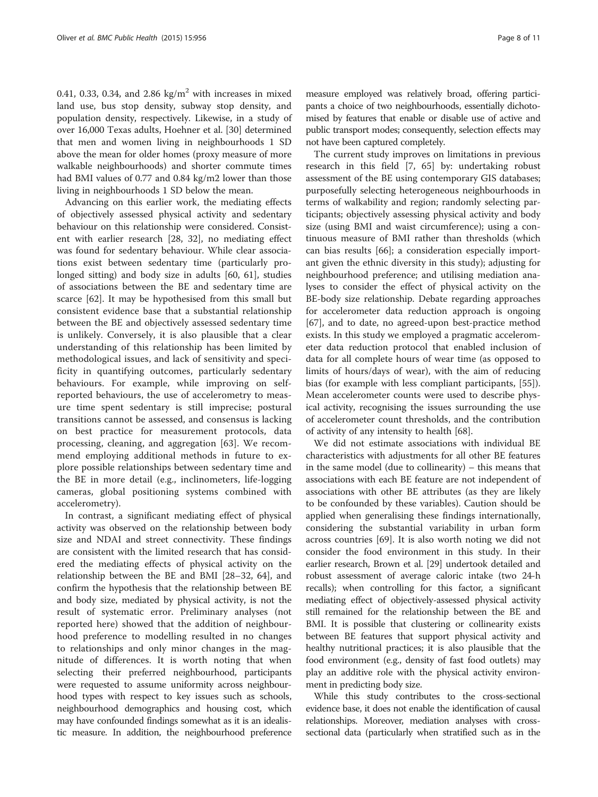0.41, 0.33, 0.34, and 2.86 kg/ $m<sup>2</sup>$  with increases in mixed land use, bus stop density, subway stop density, and population density, respectively. Likewise, in a study of over 16,000 Texas adults, Hoehner et al. [\[30\]](#page-10-0) determined that men and women living in neighbourhoods 1 SD above the mean for older homes (proxy measure of more walkable neighbourhoods) and shorter commute times had BMI values of 0.77 and 0.84 kg/m2 lower than those living in neighbourhoods 1 SD below the mean.

Advancing on this earlier work, the mediating effects of objectively assessed physical activity and sedentary behaviour on this relationship were considered. Consistent with earlier research [\[28](#page-10-0), [32](#page-10-0)], no mediating effect was found for sedentary behaviour. While clear associations exist between sedentary time (particularly prolonged sitting) and body size in adults [[60,](#page-10-0) [61\]](#page-11-0), studies of associations between the BE and sedentary time are scarce [[62\]](#page-11-0). It may be hypothesised from this small but consistent evidence base that a substantial relationship between the BE and objectively assessed sedentary time is unlikely. Conversely, it is also plausible that a clear understanding of this relationship has been limited by methodological issues, and lack of sensitivity and specificity in quantifying outcomes, particularly sedentary behaviours. For example, while improving on selfreported behaviours, the use of accelerometry to measure time spent sedentary is still imprecise; postural transitions cannot be assessed, and consensus is lacking on best practice for measurement protocols, data processing, cleaning, and aggregation [[63\]](#page-11-0). We recommend employing additional methods in future to explore possible relationships between sedentary time and the BE in more detail (e.g., inclinometers, life-logging cameras, global positioning systems combined with accelerometry).

In contrast, a significant mediating effect of physical activity was observed on the relationship between body size and NDAI and street connectivity. These findings are consistent with the limited research that has considered the mediating effects of physical activity on the relationship between the BE and BMI [\[28](#page-10-0)–[32,](#page-10-0) [64\]](#page-11-0), and confirm the hypothesis that the relationship between BE and body size, mediated by physical activity, is not the result of systematic error. Preliminary analyses (not reported here) showed that the addition of neighbourhood preference to modelling resulted in no changes to relationships and only minor changes in the magnitude of differences. It is worth noting that when selecting their preferred neighbourhood, participants were requested to assume uniformity across neighbourhood types with respect to key issues such as schools, neighbourhood demographics and housing cost, which may have confounded findings somewhat as it is an idealistic measure. In addition, the neighbourhood preference

measure employed was relatively broad, offering participants a choice of two neighbourhoods, essentially dichotomised by features that enable or disable use of active and public transport modes; consequently, selection effects may not have been captured completely.

The current study improves on limitations in previous research in this field [[7,](#page-9-0) [65\]](#page-11-0) by: undertaking robust assessment of the BE using contemporary GIS databases; purposefully selecting heterogeneous neighbourhoods in terms of walkability and region; randomly selecting participants; objectively assessing physical activity and body size (using BMI and waist circumference); using a continuous measure of BMI rather than thresholds (which can bias results [\[66](#page-11-0)]; a consideration especially important given the ethnic diversity in this study); adjusting for neighbourhood preference; and utilising mediation analyses to consider the effect of physical activity on the BE-body size relationship. Debate regarding approaches for accelerometer data reduction approach is ongoing [[67\]](#page-11-0), and to date, no agreed-upon best-practice method exists. In this study we employed a pragmatic accelerometer data reduction protocol that enabled inclusion of data for all complete hours of wear time (as opposed to limits of hours/days of wear), with the aim of reducing bias (for example with less compliant participants, [\[55](#page-10-0)]). Mean accelerometer counts were used to describe physical activity, recognising the issues surrounding the use of accelerometer count thresholds, and the contribution of activity of any intensity to health [\[68\]](#page-11-0).

We did not estimate associations with individual BE characteristics with adjustments for all other BE features in the same model (due to collinearity) – this means that associations with each BE feature are not independent of associations with other BE attributes (as they are likely to be confounded by these variables). Caution should be applied when generalising these findings internationally, considering the substantial variability in urban form across countries [[69\]](#page-11-0). It is also worth noting we did not consider the food environment in this study. In their earlier research, Brown et al. [\[29\]](#page-10-0) undertook detailed and robust assessment of average caloric intake (two 24-h recalls); when controlling for this factor, a significant mediating effect of objectively-assessed physical activity still remained for the relationship between the BE and BMI. It is possible that clustering or collinearity exists between BE features that support physical activity and healthy nutritional practices; it is also plausible that the food environment (e.g., density of fast food outlets) may play an additive role with the physical activity environment in predicting body size.

While this study contributes to the cross-sectional evidence base, it does not enable the identification of causal relationships. Moreover, mediation analyses with crosssectional data (particularly when stratified such as in the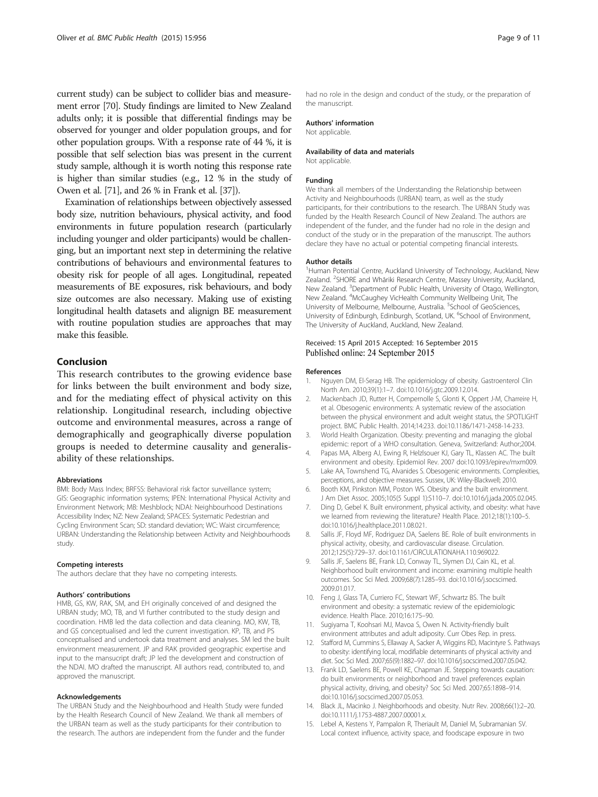<span id="page-9-0"></span>current study) can be subject to collider bias and measurement error [[70\]](#page-11-0). Study findings are limited to New Zealand adults only; it is possible that differential findings may be observed for younger and older population groups, and for other population groups. With a response rate of 44 %, it is possible that self selection bias was present in the current study sample, although it is worth noting this response rate is higher than similar studies (e.g., 12 % in the study of Owen et al. [\[71](#page-11-0)], and 26 % in Frank et al. [\[37](#page-10-0)]).

Examination of relationships between objectively assessed body size, nutrition behaviours, physical activity, and food environments in future population research (particularly including younger and older participants) would be challenging, but an important next step in determining the relative contributions of behaviours and environmental features to obesity risk for people of all ages. Longitudinal, repeated measurements of BE exposures, risk behaviours, and body size outcomes are also necessary. Making use of existing longitudinal health datasets and alignign BE measurement with routine population studies are approaches that may make this feasible.

#### Conclusion

This research contributes to the growing evidence base for links between the built environment and body size, and for the mediating effect of physical activity on this relationship. Longitudinal research, including objective outcome and environmental measures, across a range of demographically and geographically diverse population groups is needed to determine causality and generalisability of these relationships.

#### Abbreviations

BMI: Body Mass Index; BRFSS: Behavioral risk factor surveillance system; GIS: Geographic information systems; IPEN: International Physical Activity and Environment Network; MB: Meshblock; NDAI: Neighbourhood Destinations Accessibility Index; NZ: New Zealand; SPACES: Systematic Pedestrian and Cycling Environment Scan; SD: standard deviation; WC: Waist circumference; URBAN: Understanding the Relationship between Activity and Neighbourhoods study.

#### Competing interests

The authors declare that they have no competing interests.

#### Authors' contributions

HMB, GS, KW, RAK, SM, and EH originally conceived of and designed the URBAN study; MO, TB, and VI further contributed to the study design and coordination. HMB led the data collection and data cleaning. MO, KW, TB, and GS conceptualised and led the current investigation. KP, TB, and PS conceptualised and undertook data treatment and analyses. SM led the built environment measurement. JP and RAK provided geographic expertise and input to the mansucript draft; JP led the development and construction of the NDAI. MO drafted the manuscript. All authors read, contributed to, and approved the manuscript.

#### Acknowledgements

The URBAN Study and the Neighbourhood and Health Study were funded by the Health Research Council of New Zealand. We thank all members of the URBAN team as well as the study participants for their contribution to the research. The authors are independent from the funder and the funder had no role in the design and conduct of the study, or the preparation of the manuscript.

#### Authors' information

Not applicable.

#### Availability of data and materials Not applicable.

#### Funding

We thank all members of the Understanding the Relationship between Activity and Neighbourhoods (URBAN) team, as well as the study participants, for their contributions to the research. The URBAN Study was funded by the Health Research Council of New Zealand. The authors are independent of the funder, and the funder had no role in the design and conduct of the study or in the preparation of the manuscript. The authors declare they have no actual or potential competing financial interests.

#### Author details

<sup>1</sup>Human Potential Centre, Auckland University of Technology, Auckland, New Zealand. <sup>2</sup>SHORE and Whāriki Research Centre, Massey University, Auckland, New Zealand. <sup>3</sup>Department of Public Health, University of Otago, Wellington New Zealand. <sup>4</sup>McCaughey VicHealth Community Wellbeing Unit, The University of Melbourne, Melbourne, Australia. <sup>5</sup>School of GeoSciences, University of Edinburgh, Edinburgh, Scotland, UK. <sup>6</sup>School of Environment The University of Auckland, Auckland, New Zealand.

#### Received: 15 April 2015 Accepted: 16 September 2015 Published online: 24 September 2015

#### References

- Nguyen DM, El-Serag HB. The epidemiology of obesity. Gastroenterol Clin North Am. 2010;39(1):1–7. doi[:10.1016/j.gtc.2009.12.014.](http://dx.doi.org/10.1016/j.gtc.2009.12.014)
- 2. Mackenbach JD, Rutter H, Compernolle S, Glonti K, Oppert J-M, Charreire H, et al. Obesogenic environments: A systematic review of the association between the physical environment and adult weight status, the SPOTLIGHT project. BMC Public Health. 2014;14:233. doi:[10.1186/1471-2458-14-233.](http://dx.doi.org/10.1186/1471-2458-14-233)
- 3. World Health Organization. Obesity: preventing and managing the global epidemic: report of a WHO consultation. Geneva, Switzerland: Author;2004.
- 4. Papas MA, Alberg AJ, Ewing R, Helzlsouer KJ, Gary TL, Klassen AC. The built environment and obesity. Epidemiol Rev. 2007 doi[:10.1093/epirev/mxm009](http://dx.doi.org/10.1093/epirev/mxm009).
- 5. Lake AA, Townshend TG, Alvanides S. Obesogenic environments. Complexities, perceptions, and objective measures. Sussex, UK: Wiley-Blackwell; 2010.
- 6. Booth KM, Pinkston MM, Poston WS. Obesity and the built environment. J Am Diet Assoc. 2005;105(5 Suppl 1):S110–7. doi[:10.1016/j.jada.2005.02.045.](http://dx.doi.org/10.1016/j.jada.2005.02.045)
- 7. Ding D, Gebel K. Built environment, physical activity, and obesity: what have we learned from reviewing the literature? Health Place. 2012;18(1):100–5. doi[:10.1016/j.healthplace.2011.08.021.](http://dx.doi.org/10.1016/j.healthplace.2011.08.021)
- Sallis JF, Floyd MF, Rodriguez DA, Saelens BE. Role of built environments in physical activity, obesity, and cardiovascular disease. Circulation. 2012;125(5):729–37. doi[:10.1161/CIRCULATIONAHA.110.969022](http://dx.doi.org/10.1161/CIRCULATIONAHA.110.969022).
- 9. Sallis JF, Saelens BE, Frank LD, Conway TL, Slymen DJ, Cain KL, et al. Neighborhood built environment and income: examining multiple health outcomes. Soc Sci Med. 2009;68(7):1285–93. doi[:10.1016/j.socscimed.](http://dx.doi.org/10.1016/j.socscimed.2009.01.017) [2009.01.017.](http://dx.doi.org/10.1016/j.socscimed.2009.01.017)
- 10. Feng J, Glass TA, Curriero FC, Stewart WF, Schwartz BS. The built environment and obesity: a systematic review of the epidemiologic evidence. Health Place. 2010;16:175–90.
- 11. Sugiyama T, Koohsari MJ, Mavoa S, Owen N. Activity-friendly built environment attributes and adult adiposity. Curr Obes Rep. in press.
- 12. Stafford M, Cummins S, Ellaway A, Sacker A, Wiggins RD, Macintyre S. Pathways to obesity: identifying local, modifiable determinants of physical activity and diet. Soc Sci Med. 2007;65(9):1882–97. doi:[10.1016/j.socscimed.2007.05.042.](http://dx.doi.org/10.1016/j.socscimed.2007.05.042)
- 13. Frank LD, Saelens BE, Powell KE, Chapman JE. Stepping towards causation: do built environments or neighborhood and travel preferences explain physical activity, driving, and obesity? Soc Sci Med. 2007;65:1898–914. doi[:10.1016/j.socscimed.2007.05.053.](http://dx.doi.org/10.1016/j.socscimed.2007.05.053)
- 14. Black JL, Macinko J. Neighborhoods and obesity. Nutr Rev. 2008;66(1):2–20. doi[:10.1111/j.1753-4887.2007.00001.x](http://dx.doi.org/10.1111/j.1753-4887.2007.00001.x).
- 15. Lebel A, Kestens Y, Pampalon R, Theriault M, Daniel M, Subramanian SV. Local context influence, activity space, and foodscape exposure in two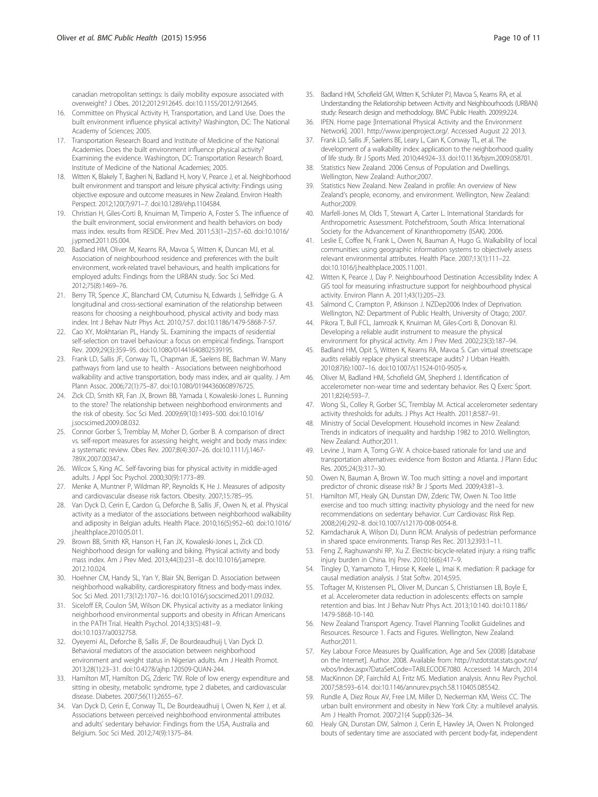<span id="page-10-0"></span>canadian metropolitan settings: Is daily mobility exposure associated with overweight? J Obes. 2012;2012:912645. doi[:10.1155/2012/912645.](http://dx.doi.org/10.1155/2012/912645)

- 16. Committee on Physical Activity H, Transportation, and Land Use. Does the built environment influence physical activity? Washington, DC: The National Academy of Sciences; 2005.
- 17. Transportation Research Board and Institute of Medicine of the National Academies. Does the built environment influence physical activity? Examining the evidence. Washington, DC: Transportation Research Board, Institute of Medicine of the National Academies; 2005.
- 18. Witten K, Blakely T, Bagheri N, Badland H, Ivory V, Pearce J, et al. Neighborhood built environment and transport and leisure physical activity: Findings using objective exposure and outcome measures in New Zealand. Environ Health Perspect. 2012;120(7):971–7. doi[:10.1289/ehp.1104584.](http://dx.doi.org/10.1289/ehp.1104584)
- 19. Christian H, Giles-Corti B, Knuiman M, Timperio A, Foster S. The influence of the built environment, social environment and health behaviors on body mass index. results from RESIDE. Prev Med. 2011;53(1–2):57–60. doi:[10.1016/](http://dx.doi.org/10.1016/j.ypmed.2011.05.004) [j.ypmed.2011.05.004.](http://dx.doi.org/10.1016/j.ypmed.2011.05.004)
- 20. Badland HM, Oliver M, Kearns RA, Mavoa S, Witten K, Duncan MJ, et al. Association of neighbourhood residence and preferences with the built environment, work-related travel behaviours, and health implications for employed adults: Findings from the URBAN study. Soc Sci Med. 2012;75(8):1469–76.
- 21. Berry TR, Spence JC, Blanchard CM, Cutumisu N, Edwards J, Selfridge G. A longitudinal and cross-sectional examination of the relationship between reasons for choosing a neighbourhood, physical activity and body mass index. Int J Behav Nutr Phys Act. 2010;7:57. doi[:10.1186/1479-5868-7-57](http://dx.doi.org/10.1186/1479-5868-7-57).
- 22. Cao XY, Mokhtarian PL, Handy SL. Examining the impacts of residential self-selection on travel behaviour: a focus on empirical findings. Transport Rev. 2009;29(3):359–95. doi[:10.1080/01441640802539195.](http://dx.doi.org/10.1080/01441640802539195)
- 23. Frank LD, Sallis JF, Conway TL, Chapman JE, Saelens BE, Bachman W. Many pathways from land use to health - Associations between neighborhood walkability and active transportation, body mass index, and air quality. J Am Plann Assoc. 2006;72(1):75–87. doi[:10.1080/01944360608976725](http://dx.doi.org/10.1080/01944360608976725).
- 24. Zick CD, Smith KR, Fan JX, Brown BB, Yamada I, Kowaleski-Jones L. Running to the store? The relationship between neighborhood environments and the risk of obesity. Soc Sci Med. 2009;69(10):1493–500. doi:[10.1016/](http://dx.doi.org/10.1016/j.socscimed.2009.08.032) [j.socscimed.2009.08.032](http://dx.doi.org/10.1016/j.socscimed.2009.08.032).
- 25. Connor Gorber S, Tremblay M, Moher D, Gorber B. A comparison of direct vs. self-report measures for assessing height, weight and body mass index: a systematic review. Obes Rev. 2007;8(4):307–26. doi:[10.1111/j.1467-](http://dx.doi.org/10.1111/j.1467-789X.2007.00347.x) [789X.2007.00347.x](http://dx.doi.org/10.1111/j.1467-789X.2007.00347.x).
- 26. Wilcox S, King AC. Self-favoring bias for physical activity in middle-aged adults. J Appl Soc Psychol. 2000;30(9):1773–89.
- 27. Menke A, Muntner P, Wildman RP, Reynolds K, He J. Measures of adiposity and cardiovascular disease risk factors. Obesity. 2007;15:785–95.
- 28. Van Dyck D, Cerin E, Cardon G, Deforche B, Sallis JF, Owen N, et al. Physical activity as a mediator of the associations between neighborhood walkability and adiposity in Belgian adults. Health Place. 2010;16(5):952–60. doi:[10.1016/](http://dx.doi.org/10.1016/j.healthplace.2010.05.011) [j.healthplace.2010.05.011.](http://dx.doi.org/10.1016/j.healthplace.2010.05.011)
- 29. Brown BB, Smith KR, Hanson H, Fan JX, Kowaleski-Jones L, Zick CD. Neighborhood design for walking and biking. Physical activity and body mass index. Am J Prev Med. 2013;44(3):231–8. doi:[10.1016/j.amepre.](http://dx.doi.org/10.1016/j.amepre.2012.10.024) [2012.10.024.](http://dx.doi.org/10.1016/j.amepre.2012.10.024)
- 30. Hoehner CM, Handy SL, Yan Y, Blair SN, Berrigan D. Association between neighborhood walkability, cardiorespiratory fitness and body-mass index. Soc Sci Med. 2011;73(12):1707–16. doi[:10.1016/j.socscimed.2011.09.032.](http://dx.doi.org/10.1016/j.socscimed.2011.09.032)
- 31. Siceloff ER, Coulon SM, Wilson DK. Physical activity as a mediator linking neighborhood environmental supports and obesity in African Americans in the PATH Trial. Health Psychol. 2014;33(5):481–9. doi[:10.1037/a0032758](http://dx.doi.org/10.1037/a0032758).
- 32. Oyeyemi AL, Deforche B, Sallis JF, De Bourdeaudhuij I, Van Dyck D. Behavioral mediators of the association between neighborhood environment and weight status in Nigerian adults. Am J Health Promot. 2013;28(1):23–31. doi[:10.4278/ajhp.120509-QUAN-244.](http://dx.doi.org/10.4278/ajhp.120509-QUAN-244)
- 33. Hamilton MT, Hamilton DG, Zderic TW. Role of low energy expenditure and sitting in obesity, metabolic syndrome, type 2 diabetes, and cardiovascular disease. Diabetes. 2007;56(11):2655–67.
- 34. Van Dyck D, Cerin E, Conway TL, De Bourdeaudhuij I, Owen N, Kerr J, et al. Associations between perceived neighborhood environmental attributes and adults' sedentary behavior: Findings from the USA, Australia and Belgium. Soc Sci Med. 2012;74(9):1375–84.
- 35. Badland HM, Schofield GM, Witten K, Schluter PJ, Mavoa S, Kearns RA, et al. Understanding the Relationship between Activity and Neighbourhoods (URBAN) study: Research design and methodology. BMC Public Health. 2009;9:224.
- 36. IPEN. Home page [International Physical Activity and the Environment Network]. 2001.<http://www.ipenproject.org/>. Accessed August 22 2013.
- 37. Frank LD, Sallis JF, Saelens BE, Leary L, Cain K, Conway TL, et al. The development of a walkability index: application to the neighborhood quality of life study. Br J Sports Med. 2010;44:924–33. doi[:10.1136/bjsm.2009.058701.](http://dx.doi.org/10.1136/bjsm.2009.058701)
- 38. Statistics New Zealand. 2006 Census of Population and Dwellings. Wellington, New Zealand: Author;2007.
- 39. Statistics New Zealand. New Zealand in profile: An overview of New Zealand's people, economy, and environment. Wellington, New Zealand: Author;2009.
- 40. Marfell-Jones M, Olds T, Stewart A, Carter L. International Standards for Anthropometric Assessment. Potchefstroom, South Africa: International Society for the Advancement of Kinanthropometry (ISAK). 2006.
- 41. Leslie E, Coffee N, Frank L, Owen N, Bauman A, Hugo G. Walkability of local communities: using geographic information systems to objectively assess relevant environmental attributes. Health Place. 2007;13(1):111–22. doi[:10.1016/j.healthplace.2005.11.001.](http://dx.doi.org/10.1016/j.healthplace.2005.11.001)
- 42. Witten K, Pearce J, Day P. Neighbourhood Destination Accessibility Index: A GIS tool for measuring infrastructure support for neighbourhood physical activity. Environ Plann A. 2011;43(1):205–23.
- 43. Salmond C, Crampton P, Atkinson J. NZDep2006 Index of Deprivation. Wellington, NZ: Department of Public Health, University of Otago; 2007.
- 44. Pikora T, Bull FCL, Jamrozik K, Knuiman M, Giles-Corti B, Donovan RJ. Developing a reliable audit instrument to measure the physical environment for physical activity. Am J Prev Med. 2002;23(3):187–94.
- Badland HM, Opit S, Witten K, Kearns RA, Mavoa S. Can virtual streetscape audits reliably replace physical streetscape audits? J Urban Health. 2010;87(6):1007–16. doi[:10.1007/s11524-010-9505-x](http://dx.doi.org/10.1007/s11524-010-9505-x).
- 46. Oliver M, Badland HM, Schofield GM, Shepherd J. Identification of accelerometer non-wear time and sedentary behavior. Res Q Exerc Sport. 2011;82(4):593–7.
- 47. Wong SL, Colley R, Gorber SC, Tremblay M. Actical accelerometer sedentary activity thresholds for adults. J Phys Act Health. 2011;8:587–91.
- 48. Ministry of Social Development. Household incomes in New Zealand: Trends in indicators of inequality and hardship 1982 to 2010. Wellington, New Zealand: Author;2011.
- 49. Levine J, Inam A, Torng G-W. A choice-based rationale for land use and transportation alternatives: evidence from Boston and Atlanta. J Plann Educ Res. 2005;24(3):317–30.
- 50. Owen N, Bauman A, Brown W. Too much sitting: a novel and important predictor of chronic disease risk? Br J Sports Med. 2009;43:81–3.
- 51. Hamilton MT, Healy GN, Dunstan DW, Zderic TW, Owen N. Too little exercise and too much sitting: inactivity physiology and the need for new recommendations on sedentary behavior. Curr Cardiovasc Risk Rep. 2008;2(4):292–8. doi[:10.1007/s12170-008-0054-8](http://dx.doi.org/10.1007/s12170-008-0054-8).
- 52. Karndacharuk A, Wilson DJ, Dunn RCM. Analysis of pedestrian performance in shared space environments. Transp Res Rec. 2013;2393:1–11.
- 53. Feng Z, Raghuwanshi RP, Xu Z. Electric-bicycle-related injury: a rising traffic injury burden in China. Inj Prev. 2010;16(6):417–9.
- 54. Tingley D, Yamamoto T, Hirose K, Keele L, Imai K. mediation: R package for causal mediation analysis. J Stat Softw. 2014;59:5.
- 55. Toftager M, Kristensen PL, Oliver M, Duncan S, Christiansen LB, Boyle E, et al. Accelerometer data reduction in adolescents: effects on sample retention and bias. Int J Behav Nutr Phys Act. 2013;10:140. doi:[10.1186/](http://dx.doi.org/10.1186/1479-5868-10-140) [1479-5868-10-140.](http://dx.doi.org/10.1186/1479-5868-10-140)
- 56. New Zealand Transport Agency. Travel Planning Toolkit Guidelines and Resources. Resource 1. Facts and Figures. Wellington, New Zealand: Author;2011.
- 57. Key Labour Force Measures by Qualification, Age and Sex (2008) [database on the Internet]. Author. 2008. Available from: [http://nzdotstat.stats.govt.nz/](http://nzdotstat.stats.govt.nz/wbos/Index.aspx?DataSetCode=TABLECODE7080) [wbos/Index.aspx?DataSetCode=TABLECODE7080.](http://nzdotstat.stats.govt.nz/wbos/Index.aspx?DataSetCode=TABLECODE7080) Accessed: 14 March, 2014
- 58. MacKinnon DP, Fairchild AJ, Fritz MS. Mediation analysis. Annu Rev Psychol. 2007;58:593–614. doi[:10.1146/annurev.psych.58.110405.085542.](http://dx.doi.org/10.1146/annurev.psych.58.110405.085542)
- 59. Rundle A, Diez Roux AV, Free LM, Miller D, Neckerman KM, Weiss CC. The urban built environment and obesity in New York City: a multilevel analysis. Am J Health Promot. 2007;21(4 Suppl):326–34.
- 60. Healy GN, Dunstan DW, Salmon J, Cerin E, Hawley JA, Owen N. Prolonged bouts of sedentary time are associated with percent body-fat, independent